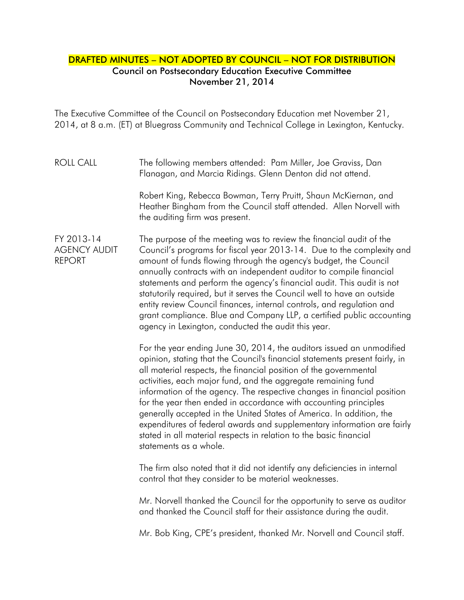## DRAFTED MINUTES – NOT ADOPTED BY COUNCIL – NOT FOR DISTRIBUTION Council on Postsecondary Education Executive Committee November 21, 2014

The Executive Committee of the Council on Postsecondary Education met November 21, 2014, at 8 a.m. (ET) at Bluegrass Community and Technical College in Lexington, Kentucky.

## ROLL CALL The following members attended: Pam Miller, Joe Graviss, Dan Flanagan, and Marcia Ridings. Glenn Denton did not attend.

Robert King, Rebecca Bowman, Terry Pruitt, Shaun McKiernan, and Heather Bingham from the Council staff attended. Allen Norvell with the auditing firm was present.

## FY 2013-14 AGENCY AUDIT REPORT The purpose of the meeting was to review the financial audit of the Council's programs for fiscal year 2013-14. Due to the complexity and amount of funds flowing through the agency's budget, the Council annually contracts with an independent auditor to compile financial statements and perform the agency's financial audit. This audit is not statutorily required, but it serves the Council well to have an outside entity review Council finances, internal controls, and regulation and grant compliance. Blue and Company LLP, a certified public accounting agency in Lexington, conducted the audit this year.

For the year ending June 30, 2014, the auditors issued an unmodified opinion, stating that the Council's financial statements present fairly, in all material respects, the financial position of the governmental activities, each major fund, and the aggregate remaining fund information of the agency. The respective changes in financial position for the year then ended in accordance with accounting principles generally accepted in the United States of America. In addition, the expenditures of federal awards and supplementary information are fairly stated in all material respects in relation to the basic financial statements as a whole.

The firm also noted that it did not identify any deficiencies in internal control that they consider to be material weaknesses.

Mr. Norvell thanked the Council for the opportunity to serve as auditor and thanked the Council staff for their assistance during the audit.

Mr. Bob King, CPE's president, thanked Mr. Norvell and Council staff.